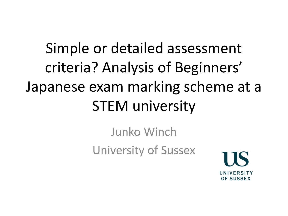## Simple or detailed assessment criteria? Analysis of Beginners' Japanese exam marking scheme at a STEM university

Junko Winch University of Sussex

UNIVERSITY **OF SUSSEX**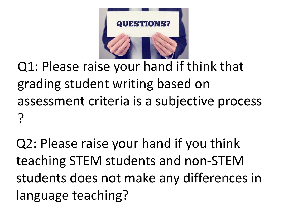

Q1: Please raise your hand if think that grading student writing based on assessment criteria is a subjective process ?

Q2: Please raise your hand if you think teaching STEM students and non-STEM students does not make any differences in language teaching?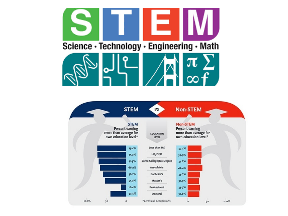

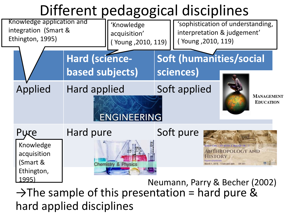#### Different pedagogical disciplines



 $\rightarrow$ The sample of this presentation = hard pure & hard applied disciplines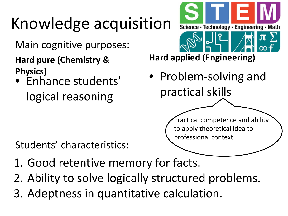# Knowledge acquisition

Main cognitive purposes:

**Hard pure (Chemistry & Physics)**

• Enhance students' logical reasoning

**Hard applied (Engineering)**

• Problem-solving and practical skills

> Practical competence and ability to apply theoretical idea to professional context

Science · Technology · Engineering · Mat

Students' characteristics:

- 1. Good retentive memory for facts.
- 2. Ability to solve logically structured problems.
- 3. Adeptness in quantitative calculation.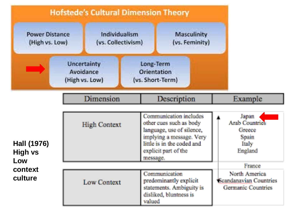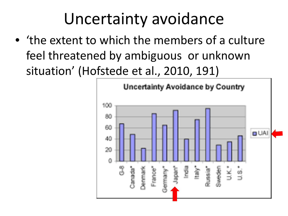### Uncertainty avoidance

• 'the extent to which the members of a culture feel threatened by ambiguous or unknown situation' (Hofstede et al., 2010, 191)

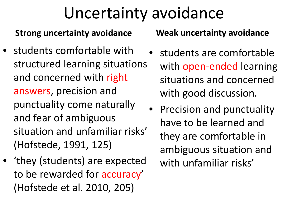### Uncertainty avoidance

#### **Strong uncertainty avoidance**

- students comfortable with structured learning situations and concerned with right answers, precision and punctuality come naturally and fear of ambiguous situation and unfamiliar risks' (Hofstede, 1991, 125)
- 'they (students) are expected to be rewarded for accuracy' (Hofstede et al. 2010, 205)

**Weak uncertainty avoidance**

- students are comfortable with open-ended learning situations and concerned with good discussion.
- Precision and punctuality have to be learned and they are comfortable in ambiguous situation and with unfamiliar risks'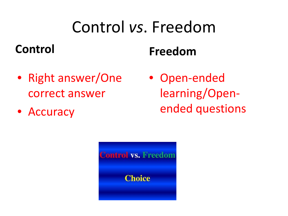## Control *vs*. Freedom

#### **Control**

#### **Freedom**

- Right answer/One correct answer
- Accuracy

• Open-ended learning/Openended questions

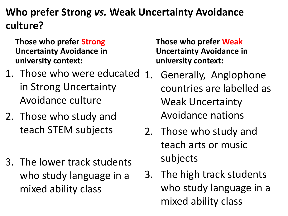#### **Who prefer Strong** *vs.* **Weak Uncertainty Avoidance culture?**

**Those who prefer Strong Uncertainty Avoidance in university context:**

- 1. Those who were educated in Strong Uncertainty Avoidance culture
- 2. Those who study and teach STEM subjects
- 3. The lower track students who study language in a mixed ability class

**Those who prefer Weak Uncertainty Avoidance in university context:**

- 1. Generally, Anglophone countries are labelled as Weak Uncertainty Avoidance nations
- 2. Those who study and teach arts or music subjects
- 3. The high track students who study language in a mixed ability class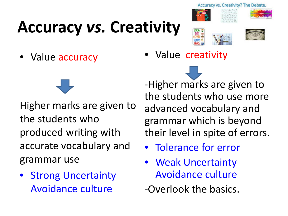# **Accuracy** *vs.* **Creativity**





**Accuracy vs. Creativity? The Debate** 





• Value accuracy

Higher marks are given to the students who produced writing with accurate vocabulary and grammar use

• Strong Uncertainty Avoidance culture

-Higher marks are given to the students who use more advanced vocabulary and grammar which is beyond

- their level in spite of errors.
- Tolerance for error

Value creativity

- Weak Uncertainty Avoidance culture
- -Overlook the basics.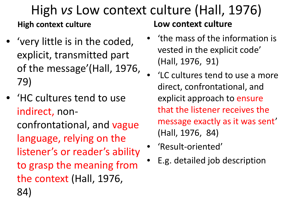#### High *vs* Low context culture (Hall, 1976) **High context culture Low context culture**

- 'very little is in the coded, explicit, transmitted part of the message'(Hall, 1976, 79)
- 'HC cultures tend to use indirect, nonconfrontational, and vague language, relying on the listener's or reader's ability to grasp the meaning from the context (Hall, 1976, 84)
- 
- 'the mass of the information is vested in the explicit code' (Hall, 1976, 91)
- 'LC cultures tend to use a more direct, confrontational, and explicit approach to ensure that the listener receives the message exactly as it was sent' (Hall, 1976, 84)
- 'Result-oriented'
- E.g. detailed job description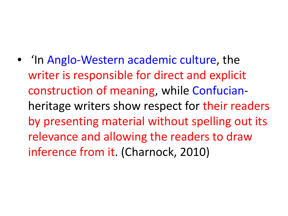• 'In Anglo-Western academic culture, the writer is responsible for direct and explicit construction of meaning, while Confucianheritage writers show respect for their readers by presenting material without spelling out its relevance and allowing the readers to draw inference from it. (Charnock, 2010)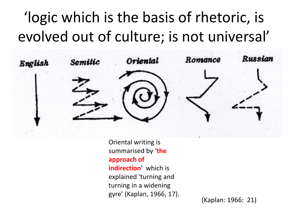#### 'logic which is the basis of rhetoric, is evolved out of culture; is not universal'



Oriental writing is summarised by '**the approach of indirection**' which is explained 'turning and turning in a widening gyre' (Kaplan, 1966, 17).

(Kaplan: 1966: 21)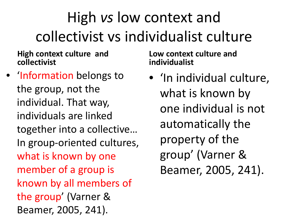## High *vs* low context and collectivist vs individualist culture

**High context culture and collectivist**

• Information belongs to the group, not the individual. That way, individuals are linked together into a collective… In group-oriented cultures, what is known by one member of a group is known by all members of the group' (Varner & Beamer, 2005, 241).

**Low context culture and individualist**

• 'In individual culture, what is known by one individual is not automatically the property of the group' (Varner & Beamer, 2005, 241).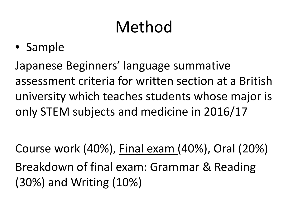# Method

• Sample

Japanese Beginners' language summative assessment criteria for written section at a British university which teaches students whose major is only STEM subjects and medicine in 2016/17

Course work (40%), Final exam (40%), Oral (20%) Breakdown of final exam: Grammar & Reading (30%) and Writing (10%)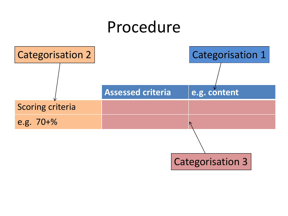#### Procedure

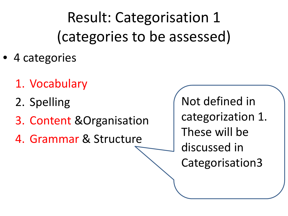Result: Categorisation 1 (categories to be assessed)

- 4 categories
	- 1. Vocabulary
	- 2. Spelling
	- 3. Content &Organisation
	- 4. Grammar & Structure

Not defined in categorization 1. These will be discussed in Categorisation3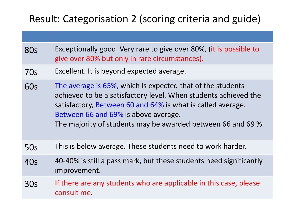#### Result: Categorisation 2 (scoring criteria and guide)

| <b>80s</b> | Exceptionally good. Very rare to give over 80%, (it is possible to<br>give over 80% but only in rare circumstances).                                                                                                                                                                                 |
|------------|------------------------------------------------------------------------------------------------------------------------------------------------------------------------------------------------------------------------------------------------------------------------------------------------------|
| 70s        | Excellent. It is beyond expected average.                                                                                                                                                                                                                                                            |
| 60s        | The average is 65%, which is expected that of the students<br>achieved to be a satisfactory level. When students achieved the<br>satisfactory, Between 60 and 64% is what is called average.<br>Between 66 and 69% is above average.<br>The majority of students may be awarded between 66 and 69 %. |
| 50s        | This is below average. These students need to work harder.                                                                                                                                                                                                                                           |
| 40s        | 40-40% is still a pass mark, but these students need significantly<br>improvement.                                                                                                                                                                                                                   |
| 30s        | If there are any students who are applicable in this case, please<br>consult me.                                                                                                                                                                                                                     |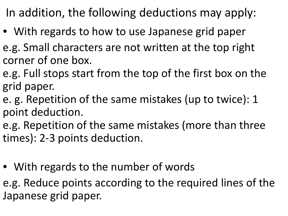In addition, the following deductions may apply:

- With regards to how to use Japanese grid paper
- e.g. Small characters are not written at the top right corner of one box.
- e.g. Full stops start from the top of the first box on the grid paper.
- e. g. Repetition of the same mistakes (up to twice): 1 point deduction.
- e.g. Repetition of the same mistakes (more than three times): 2-3 points deduction.
- With regards to the number of words
- e.g. Reduce points according to the required lines of the Japanese grid paper.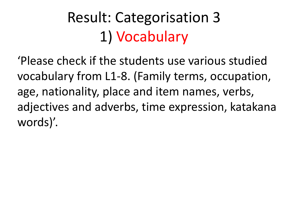### Result: Categorisation 3 1) Vocabulary

'Please check if the students use various studied vocabulary from L1-8. (Family terms, occupation, age, nationality, place and item names, verbs, adjectives and adverbs, time expression, katakana words)'.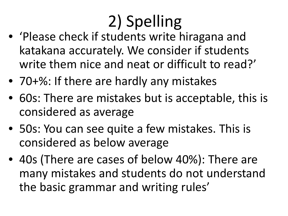# 2) Spelling

- 'Please check if students write hiragana and katakana accurately. We consider if students write them nice and neat or difficult to read?'
- 70+%: If there are hardly any mistakes
- 60s: There are mistakes but is acceptable, this is considered as average
- 50s: You can see quite a few mistakes. This is considered as below average
- 40s (There are cases of below 40%): There are many mistakes and students do not understand the basic grammar and writing rules'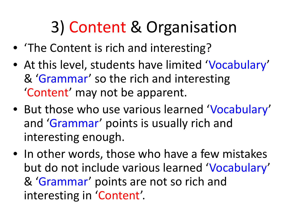# 3) Content & Organisation

- 'The Content is rich and interesting?
- At this level, students have limited 'Vocabulary' & 'Grammar' so the rich and interesting 'Content' may not be apparent.
- But those who use various learned 'Vocabulary' and 'Grammar' points is usually rich and interesting enough.
- In other words, those who have a few mistakes but do not include various learned 'Vocabulary' & 'Grammar' points are not so rich and interesting in 'Content'.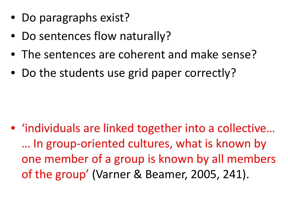- Do paragraphs exist?
- Do sentences flow naturally?
- The sentences are coherent and make sense?
- Do the students use grid paper correctly?

• 'individuals are linked together into a collective... … In group-oriented cultures, what is known by one member of a group is known by all members of the group' (Varner & Beamer, 2005, 241).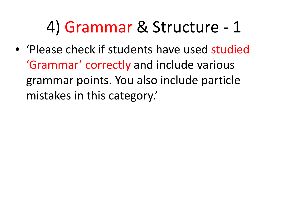## 4) Grammar & Structure - 1

• 'Please check if students have used studied 'Grammar' correctly and include various grammar points. You also include particle mistakes in this category.'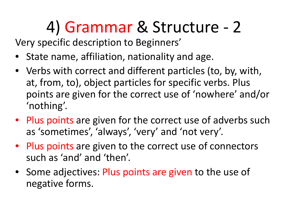# 4) Grammar & Structure - 2

Very specific description to Beginners'

- State name, affiliation, nationality and age.
- Verbs with correct and different particles (to, by, with, at, from, to), object particles for specific verbs. Plus points are given for the correct use of 'nowhere' and/or 'nothing'.
- Plus points are given for the correct use of adverbs such as 'sometimes', 'always', 'very' and 'not very'.
- Plus points are given to the correct use of connectors such as 'and' and 'then'.
- Some adjectives: Plus points are given to the use of negative forms.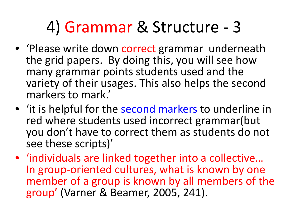## 4) Grammar & Structure - 3

- 'Please write down correct grammar underneath the grid papers. By doing this, you will see how many grammar points students used and the variety of their usages. This also helps the second markers to mark.'
- 'it is helpful for the second markers to underline in red where students used incorrect grammar(but you don't have to correct them as students do not see these scripts)'
- 'individuals are linked together into a collective… In group-oriented cultures, what is known by one member of a group is known by all members of the group' (Varner & Beamer, 2005, 241).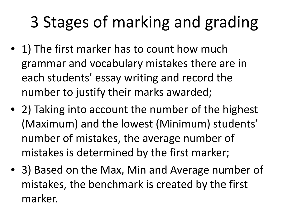# 3 Stages of marking and grading

- 1) The first marker has to count how much grammar and vocabulary mistakes there are in each students' essay writing and record the number to justify their marks awarded;
- 2) Taking into account the number of the highest (Maximum) and the lowest (Minimum) students' number of mistakes, the average number of mistakes is determined by the first marker;
- 3) Based on the Max, Min and Average number of mistakes, the benchmark is created by the first marker.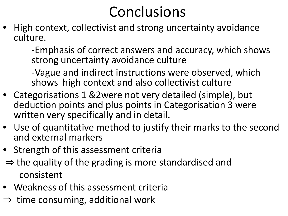#### Conclusions

• High context, collectivist and strong uncertainty avoidance culture.

> -Emphasis of correct answers and accuracy, which shows strong uncertainty avoidance culture

-Vague and indirect instructions were observed, which shows high context and also collectivist culture

- Categorisations 1 &2were not very detailed (simple), but deduction points and plus points in Categorisation 3 were written very specifically and in detail.
- Use of quantitative method to justify their marks to the second and external markers
- Strength of this assessment criteria
- $\Rightarrow$  the quality of the grading is more standardised and consistent
- Weakness of this assessment criteria
- $\Rightarrow$  time consuming, additional work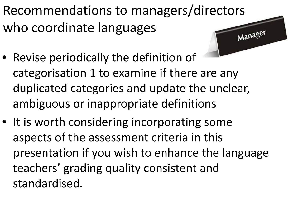Recommendations to managers/directors who coordinate languages Manager

- Revise periodically the definition of categorisation 1 to examine if there are any duplicated categories and update the unclear, ambiguous or inappropriate definitions
- It is worth considering incorporating some aspects of the assessment criteria in this presentation if you wish to enhance the language teachers' grading quality consistent and standardised.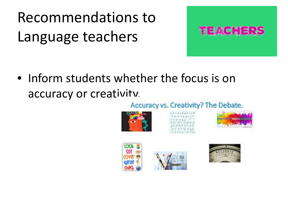Recommendations to Language teachers



• Inform students whether the focus is on accuracy or creativity.

#### Accuracy vs. Creativity? The Debate.







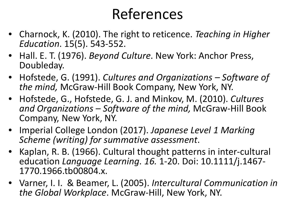#### References

- Charnock, K. (2010). The right to reticence. *Teaching in Higher Education*. 15(5). 543-552.
- Hall. E. T. (1976). *Beyond Culture*. New York: Anchor Press, Doubleday.
- Hofstede, G. (1991). *Cultures and Organizations – Software of the mind,* McGraw-Hill Book Company, New York, NY.
- Hofstede, G., Hofstede, G. J. and Minkov, M. (2010). *Cultures and Organizations – Software of the mind,* McGraw-Hill Book Company, New York, NY.
- Imperial College London (2017). *Japanese Level 1 Marking Scheme (writing) for summative assessment*.
- Kaplan, R. B. (1966). Cultural thought patterns in inter-cultural education *Language Learning*. *16.* 1-20. Doi: 10.1111/j.1467- 1770.1966.tb00804.x.
- Varner, I. I. & Beamer, L. (2005). *Intercultural Communication in the Global Workplace*. McGraw-Hill, New York, NY.